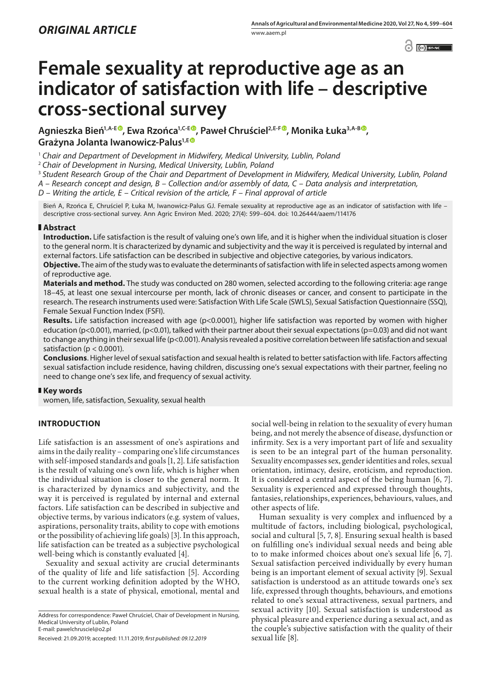$\odot$   $\odot$   $BY-NC$ 

# **Female sexuality at reproductive age as an indicator of satisfaction with life – descriptive cross-sectional survey**

**Agnieszka Bień1,A-[E](https://orcid.org/0000-0002-5268-6900) , Ewa Rzońca1,C-[E](https://orcid.org/0000-0002-6534-1100) , Paweł Chruściel2,E-F , Monika Łuka3,A-B [,](https://orcid.org/0000-0000-0000-0001) Grażyna Jolanta Iwanowicz-Palus1,E**

<sup>1</sup> Chair and Department of Development in Midwifery, Medical University, Lublin, Poland

<sup>2</sup> *Chair of Development in Nursing, Medical University, Lublin, Poland*

<sup>3</sup> *Student Research Group of the Chair and Department of Development in Midwifery, Medical University, Lublin, Poland*

*A – Research concept and design, B – Collection and/or assembly of data, C – Data analysis and interpretation,* 

*D – Writing the article, E – Critical revision of the article, F – Final approval of article*

Bień A, Rzońca E, Chruściel P, Łuka M, Iwanowicz-Palus GJ. Female sexuality at reproductive age as an indicator of satisfaction with life – descriptive cross-sectional survey. Ann Agric Environ Med. 2020; 27(4): 599–604. doi: 10.26444/aaem/114176

### **Abstract**

**Introduction.** Life satisfaction is the result of valuing one's own life, and it is higher when the individual situation is closer to the general norm. It is characterized by dynamic and subjectivity and the way it is perceived is regulated by internal and external factors. Life satisfaction can be described in subjective and objective categories, by various indicators.

**Objective.** The aim of the study was to evaluate the determinants of satisfaction with life in selected aspects among women of reproductive age.

**Materials and method.** The study was conducted on 280 women, selected according to the following criteria: age range 18–45, at least one sexual intercourse per month, lack of chronic diseases or cancer, and consent to participate in the research. The research instruments used were: Satisfaction With Life Scale (SWLS), Sexual Satisfaction Questionnaire (SSQ), Female Sexual Function Index (FSFI).

**Results.** Life satisfaction increased with age (p<0.0001), higher life satisfaction was reported by women with higher education (p<0.001), married, (p<0.01), talked with their partner about their sexual expectations (p=0.03) and did not want to change anything in their sexual life (p<0.001). Analysis revealed a positive correlation between life satisfaction and sexual satisfaction ( $p < 0.0001$ ).

**Conclusions**. Higher level of sexual satisfaction and sexual health is related to better satisfaction with life. Factors affecting sexual satisfaction include residence, having children, discussing one's sexual expectations with their partner, feeling no need to change one's sex life, and frequency of sexual activity.

### **Key words**

women, life, satisfaction, Sexuality, sexual health

## **INTRODUCTION**

Life satisfaction is an assessment of one's aspirations and aims in the daily reality – comparing one's life circumstances with self-imposed standards and goals [1, 2]. Life satisfaction is the result of valuing one's own life, which is higher when the individual situation is closer to the general norm. It is characterized by dynamics and subjectivity, and the way it is perceived is regulated by internal and external factors. Life satisfaction can be described in subjective and objective terms, by various indicators (e.g. system of values, aspirations, personality traits, ability to cope with emotions or the possibility of achieving life goals) [3]. In this approach, life satisfaction can be treated as a subjective psychological well-being which is constantly evaluated [4].

Sexuality and sexual activity are crucial determinants of the quality of life and life satisfaction [5]. According to the current working definition adopted by the WHO, sexual health is a state of physical, emotional, mental and

Address for correspondence: Paweł Chruściel, Chair of Development in Nursing, Medical University of Lublin, Poland E-mail: pawelchrusciel@o2.pl

Received: 21.09.2019; accepted: 11.11.2019; *first published: 09.12.2019*

social well-being in relation to the sexuality of every human being, and not merely the absence of disease, dysfunction or infirmity. Sex is a very important part of life and sexuality is seen to be an integral part of the human personality. Sexuality encompasses sex, gender identities and roles, sexual orientation, intimacy, desire, eroticism, and reproduction. It is considered a central aspect of the being human [6, 7]. Sexuality is experienced and expressed through thoughts, fantasies, relationships, experiences, behaviours, values, and other aspects of life.

Human sexuality is very complex and influenced by a multitude of factors, including biological, psychological, social and cultural [5, 7, 8]. Ensuring sexual health is based on fulfilling one's individual sexual needs and being able to to make informed choices about one's sexual life [6, 7]. Sexual satisfaction perceived individually by every human being is an important element of sexual activity [9]. Sexual satisfaction is understood as an attitude towards one's sex life, expressed through thoughts, behaviours, and emotions related to one's sexual attractiveness, sexual partners, and sexual activity [10]. Sexual satisfaction is understood as physical pleasure and experience during a sexual act, and as the couple's subjective satisfaction with the quality of their sexual life [8].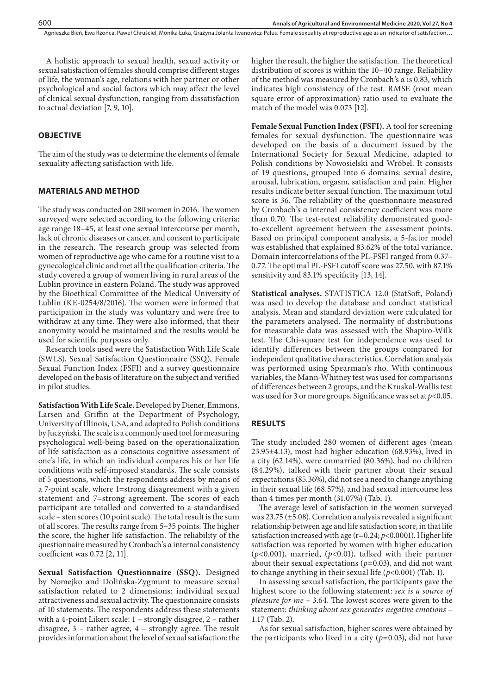A holistic approach to sexual health, sexual activity or sexual satisfaction of females should comprise different stages of life, the woman's age, relations with her partner or other psychological and social factors which may affect the level of clinical sexual dysfunction, ranging from dissatisfaction to actual deviation [7, 9, 10].

#### **OBJECTIVE**

The aim of the study was to determine the elements of female sexuality affecting satisfaction with life.

#### **MATERIALS AND METHOD**

The study was conducted on 280 women in 2016. The women surveyed were selected according to the following criteria: age range 18–45, at least one sexual intercourse per month, lack of chronic diseases or cancer, and consent to participate in the research. The research group was selected from women of reproductive age who came for a routine visit to a gynecological clinic and met all the qualification criteria. The study covered a group of women living in rural areas of the Lublin province in eastern Poland. The study was approved by the Bioethical Committee of the Medical University of Lublin (KE-0254/8/2016). The women were informed that participation in the study was voluntary and were free to withdraw at any time. They were also informed, that their anonymity would be maintained and the results would be used for scientific purposes only.

Research tools used were the Satisfaction With Life Scale (SWLS), Sexual Satisfaction Questionnaire (SSQ), Female Sexual Function Index (FSFI) and a survey questionnaire developed on the basis of literature on the subject and verified in pilot studies.

**Satisfaction With Life Scale.** Developed by Diener, Emmons, Larsen and Griffin at the Department of Psychology, University of Illinois, USA, and adapted to Polish conditions by Juczyński. The scale is a commonly used tool for measuring psychological well-being based on the operationalization of life satisfaction as a conscious cognitive assessment of one's life, in which an individual compares his or her life conditions with self-imposed standards. The scale consists of 5 questions, which the respondents address by means of a 7-point scale, where 1=strong disagreement with a given statement and 7=strong agreement. The scores of each participant are totalled and converted to a standardised scale – sten scores (10 point scale). The total result is the sum of all scores. The results range from 5–35 points. The higher the score, the higher life satisfaction. The reliability of the questionnaire measured by Cronbach's α internal consistency coefficient was 0.72 [2, 11].

**Sexual Satisfaction Questionnaire (SSQ).** Designed by Nomejko and Dolińska-Zygmunt to measure sexual satisfaction related to 2 dimensions: individual sexual attractiveness and sexual activity. The questionnaire consists of 10 statements. The respondents address these statements with a 4-point Likert scale: 1 – strongly disagree, 2 – rather disagree, 3 – rather agree, 4 – strongly agree. The result provides information about the level of sexual satisfaction: the higher the result, the higher the satisfaction. The theoretical distribution of scores is within the 10–40 range. Reliability of the method was measured by Cronbach's α is 0.83, which indicates high consistency of the test. RMSE (root mean square error of approximation) ratio used to evaluate the match of the model was 0.073 [12].

**Female Sexual Function Index (FSFI).** A tool for screening females for sexual dysfunction. The questionnaire was developed on the basis of a document issued by the International Society for Sexual Medicine, adapted to Polish conditions by Nowosielski and Wróbel. It consists of 19 questions, grouped into 6 domains: sexual desire, arousal, lubrication, orgasm, satisfaction and pain. Higher results indicate better sexual function. The maximum total score is 36. The reliability of the questionnaire measured by Cronbach's α internal consistency coefficient was more than 0.70. The test-retest reliability demonstrated goodto-excellent agreement between the assessment points. Based on principal component analysis, a 5-factor model was established that explained 83.62% of the total variance. Domain intercorrelations of the PL-FSFI ranged from 0.37– 0.77. The optimal PL-FSFI cutoff score was 27.50, with 87.1% sensitivity and 83.1% specificity [13, 14].

**Statistical analyses.** STATISTICA 12.0 (StatSoft, Poland) was used to develop the database and conduct statistical analysis. Mean and standard deviation were calculated for the parameters analysed. The normality of distributions for measurable data was assessed with the Shapiro-Wilk test. The Chi-square test for independence was used to identify differences between the groups compared for independent qualitative characteristics. Correlation analysis was performed using Spearman's rho. With continuous variables, the Mann-Whitney test was used for comparisons of differences between 2 groups, and the Kruskal-Wallis test was used for 3 or more groups. Significance was set at *p*<0.05.

#### **RESULTS**

The study included 280 women of different ages (mean 23.95±4.13), most had higher education (68.93%), lived in a city (62.14%), were unmarried (80.36%), had no children (84.29%), talked with their partner about their sexual expectations (85.36%), did not see a need to change anything in their sexual life (68.57%), and had sexual intercourse less than 4 times per month (31.07%) (Tab. 1).

The average level of satisfaction in the women surveyed was 23.75 (±5.08). Correlation analysis revealed a significant relationship between age and life satisfaction score, in that life satisfaction increased with age (r=0.24; *p*<0.0001). Higher life satisfaction was reported by women with higher education (*p*<0.001), married, (*p*<0.01), talked with their partner about their sexual expectations (*p*=0.03), and did not want to change anything in their sexual life (*p*<0.001) (Tab. 1).

In assessing sexual satisfaction, the participants gave the highest score to the following statement: *sex is a source of pleasure for me –* 3.64. The lowest scores were given to the statement: *thinking about sex generates negative emotions* – 1.17 (Tab. 2).

As for sexual satisfaction, higher scores were obtained by the participants who lived in a city  $(p=0.03)$ , did not have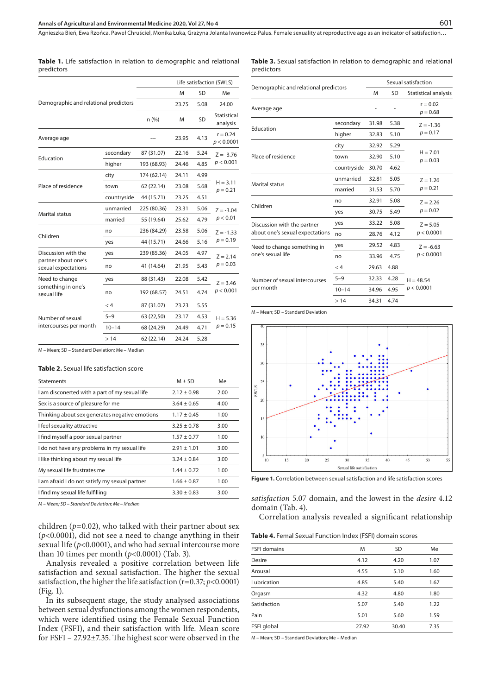|                                            |             | Life satisfaction (SWLS) |       |           |                          |  |
|--------------------------------------------|-------------|--------------------------|-------|-----------|--------------------------|--|
|                                            |             | M                        | SD    | Me        |                          |  |
| Demographic and relational predictors      |             |                          | 23.75 | 5.08      | 24.00                    |  |
|                                            |             | n(%)                     | M     | <b>SD</b> | Statistical<br>analysis  |  |
| Average age                                |             |                          | 23.95 | 4.13      | $r = 0.24$<br>p < 0.0001 |  |
|                                            | secondary   | 87 (31.07)               | 22.16 | 5.24      | $Z = -3.76$              |  |
| Education                                  | higher      | 193 (68.93)              | 24.46 | 4.85      | p < 0.001                |  |
|                                            | city        | 174 (62.14)              | 24.11 | 4.99      |                          |  |
| Place of residence                         | town        | 62 (22.14)               | 23.08 | 5.68      | $H = 3.11$<br>$p = 0.21$ |  |
|                                            | countryside | 44 (15.71)               | 23.25 | 4.51      |                          |  |
|                                            | unmarried   | 225 (80.36)              | 23.31 | 5.06      | $Z = -3.04$              |  |
| Marital status                             | married     | 55 (19.64)               | 25.62 | 4.79      | p < 0.01                 |  |
| Children                                   | no          | 236 (84.29)              | 23.58 | 5.06      | $Z = -1.33$              |  |
|                                            | yes         | 44 (15.71)               | 24.66 | 5.16      | $p = 0.19$               |  |
| Discussion with the                        | yes         | 239 (85.36)              | 24.05 | 4.97      | $Z = 2.14$<br>$p = 0.03$ |  |
| partner about one's<br>sexual expectations | no          | 41 (14.64)               | 21.95 | 5.43      |                          |  |
| Need to change                             | yes         | 88 (31.43)               | 22.08 | 5.42      | $Z = 3.46$<br>p < 0.001  |  |
| something in one's<br>sexual life          | no          | 192 (68.57)              | 24.51 | 4.74      |                          |  |
|                                            | < 4         | 87 (31.07)               | 23.23 | 5.55      |                          |  |
| Number of sexual                           | $5 - 9$     | 63 (22,50)               | 23.17 | 4.53      | $H = 5.36$               |  |
| intercourses per month                     | $10 - 14$   | 68 (24.29)               | 24.49 | 4.71      | $p = 0.15$               |  |
|                                            | >14         | 62 (22.14)               | 24.24 | 5.28      |                          |  |

**Table 1.** Life satisfaction in relation to demographic and relational predictors

**Table 3.** Sexual satisfaction in relation to demographic and relational predictors

|                                       |             | Sexual satisfaction |      |                          |
|---------------------------------------|-------------|---------------------|------|--------------------------|
| Demographic and relational predictors |             |                     | SD   | Statistical analysis     |
| Average age                           |             |                     |      | $r = 0.02$<br>$p = 0.68$ |
| Education                             | secondary   | 31.98               | 5.38 | $Z = -1.36$              |
|                                       | higher      | 32.83               | 5.10 | $p = 0.17$               |
|                                       | city        | 32.92               | 5.29 |                          |
| Place of residence                    | town        | 32.90               | 5.10 | $H = 7.01$<br>$p = 0.03$ |
|                                       | countryside | 30.70               | 4.62 |                          |
| Marital status                        | unmarried   | 32.81               | 5.05 | $Z = 1.26$               |
|                                       | married     | 31.53               | 5.70 | $p = 0.21$               |
|                                       | no          | 32.91               | 5.08 | $Z = 2.26$               |
| Children                              | yes         | 30.75               | 5.49 | $p = 0.02$               |
| Discussion with the partner           | yes         | 33.22               | 5.08 | $Z = 5.05$               |
| about one's sexual expectations       | no          | 28.76               | 4.12 | p < 0.0001               |
| Need to change something in           | yes         | 29.52               | 4.83 | $Z = -6.63$              |
| one's sexual life                     | no          | 33.96               | 4.75 | p < 0.0001               |
|                                       | < 4         | 29.63               | 4.88 |                          |
| Number of sexual intercourses         | $5 - 9$     | 32.33               | 4.28 | $H = 48.54$              |
| per month                             | $10 - 14$   | 34.96               | 4.95 | p < 0.0001               |
|                                       | >14         | 34.31               | 4.74 |                          |

M – Mean; SD – Standard Deviation



M – Mean; SD – Standard Deviation; Me – Median

#### **Table 2.** Sexual life satisfaction score

| <b>Statements</b>                              | $M + SD$        | Me   |
|------------------------------------------------|-----------------|------|
| I am disconerted with a part of my sexual life | $2.12 + 0.98$   | 2.00 |
| Sex is a source of pleasure for me             | $3.64 + 0.65$   | 4.00 |
| Thinking about sex generates negative emotions | $1.17 \pm 0.45$ | 1.00 |
| I feel sexuality attractive                    | $3.25 + 0.78$   | 3.00 |
| I find myself a poor sexual partner            | $1.57 + 0.77$   | 1.00 |
| I do not have any problems in my sexual life   | $2.91 \pm 1.01$ | 3.00 |
| I like thinking about my sexual life           | $3.24 + 0.84$   | 3.00 |
| My sexual life frustrates me                   | $1.44 \pm 0.72$ | 1.00 |
| I am afraid I do not satisfy my sexual partner | $1.66 + 0.87$   | 1.00 |
| I find my sexual life fulfilling               | $3.30 + 0.83$   | 3.00 |
|                                                |                 |      |

*M – Mean; SD – Standard Deviation; Me – Median*

children (*p*=0.02), who talked with their partner about sex (*p*<0.0001), did not see a need to change anything in their sexual life (*p*<0.0001), and who had sexual intercourse more than 10 times per month (*p*<0.0001) (Tab. 3).

Analysis revealed a positive correlation between life satisfaction and sexual satisfaction. The higher the sexual satisfaction, the higher the life satisfaction (r=0.37; *p*<0.0001) (Fig. 1).

In its subsequent stage, the study analysed associations between sexual dysfunctions among the women respondents, which were identified using the Female Sexual Function Index (FSFI), and their satisfaction with life. Mean score for FSFI – 27.92±7.35. The highest scor were observed in the **Figure 1.** Correlation between sexual satisfaction and life satisfaction scores

*satisfaction* 5.07 domain, and the lowest in the *desire* 4.12 domain (Tab. 4).

Correlation analysis revealed a significant relationship

|  |  |  |  | <b>Table 4.</b> Femal Sexual Function Index (FSFI) domain scores |  |  |  |  |
|--|--|--|--|------------------------------------------------------------------|--|--|--|--|
|--|--|--|--|------------------------------------------------------------------|--|--|--|--|

| <b>FSFI domains</b> | M     | <b>SD</b> | Me   |
|---------------------|-------|-----------|------|
| <b>Desire</b>       | 4.12  | 4.20      | 1.07 |
| Arousal             | 4.55  | 5.10      | 1.60 |
| Lubrication         | 4.85  | 5.40      | 1.67 |
| Orgasm              | 4.32  | 4.80      | 1.80 |
| Satisfaction        | 5.07  | 5.40      | 1.22 |
| Pain                | 5.01  | 5.60      | 1.59 |
| FSFI global         | 27.92 | 30.40     | 7.35 |
|                     |       |           |      |

M – Mean; SD – Standard Deviation; Me – Median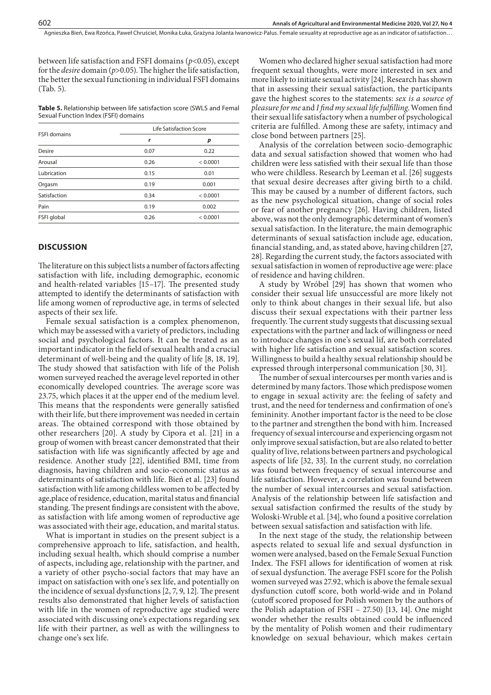between life satisfaction and FSFI domains (*p*<0.05), except for the *desire* domain (*p*>0.05). The higher the life satisfaction, the better the sexual functioning in individual FSFI domains (Tab. 5).

**Table 5.** Relationship between life satisfaction score (SWLS and Femal Sexual Function Index (FSFI) domains

| <b>FSFI</b> domains | Life Satisfaction Score |          |  |  |
|---------------------|-------------------------|----------|--|--|
|                     | r                       | р        |  |  |
| <b>Desire</b>       | 0.07                    | 0.22     |  |  |
| Arousal             | 0.26                    | < 0.0001 |  |  |
| Lubrication         | 0.15                    | 0.01     |  |  |
| Orgasm              | 0.19                    | 0.001    |  |  |
| Satisfaction        | 0.34                    | < 0.0001 |  |  |
| Pain                | 0.19                    | 0.002    |  |  |
| FSFI global         | 0.26                    | < 0.0001 |  |  |
|                     |                         |          |  |  |

#### **DISCUSSION**

The literature on this subject lists a number of factors affecting satisfaction with life, including demographic, economic and health-related variables [15–17]. The presented study attempted to identify the determinants of satisfaction with life among women of reproductive age, in terms of selected aspects of their sex life.

Female sexual satisfaction is a complex phenomenon, which may be assessed with a variety of predictors, including social and psychological factors. It can be treated as an important indicator in the field of sexual health and a crucial determinant of well-being and the quality of life [8, 18, 19]. The study showed that satisfaction with life of the Polish women surveyed reached the average level reported in other economically developed countries. The average score was 23.75, which places it at the upper end of the medium level. This means that the respondents were generally satisfied with their life, but there improvement was needed in certain areas. The obtained correspond with those obtained by other researchers [20]. A study by Cipora et al. [21] in a group of women with breast cancer demonstrated that their satisfaction with life was significantly affected by age and residence. Another study [22], identified BMI, time from diagnosis, having children and socio-economic status as determinants of satisfaction with life. Bień et al. [23] found satisfaction with life among childless women to be affected by age,place of residence, education, marital status and financial standing. The present findings are consistent with the above, as satisfaction with life among women of reproductive age was associated with their age, education, and marital status.

What is important in studies on the present subject is a comprehensive approach to life, satisfaction, and health, including sexual health, which should comprise a number of aspects, including age, relationship with the partner, and a variety of other psycho-social factors that may have an impact on satisfaction with one's sex life, and potentially on the incidence of sexual dysfunctions [2, 7, 9, 12]. The present results also demonstrated that higher levels of satisfaction with life in the women of reproductive age studied were associated with discussing one's expectations regarding sex life with their partner, as well as with the willingness to change one's sex life.

Women who declared higher sexual satisfaction had more frequent sexual thoughts, were more interested in sex and more likely to initiate sexual activity [24]. Research has shown that in assessing their sexual satisfaction, the participants gave the highest scores to the statements: *sex is a source of pleasure for me* and *I find my sexual life fulfilling*. Women find their sexual life satisfactory when a number of psychological criteria are fulfilled. Among these are safety, intimacy and close bond between partners [25].

Analysis of the correlation between socio-demographic data and sexual satisfaction showed that women who had children were less satisfied with their sexual life than those who were childless. Research by Leeman et al. [26] suggests that sexual desire decreases after giving birth to a child. This may be caused by a number of different factors, such as the new psychological situation, change of social roles or fear of another pregnancy [26]. Having children, listed above, was not the only demographic determinant of women's sexual satisfaction. In the literature, the main demographic determinants of sexual satisfaction include age, education, financial standing, and, as stated above, having children [27, 28]. Regarding the current study, the factors associated with sexual satisfaction in women of reproductive age were: place of residence and having children.

A study by Wróbel [29] has shown that women who consider their sexual life unsuccessful are more likely not only to think about changes in their sexual life, but also discuss their sexual expectations with their partner less frequently. The current study suggests that discussing sexual expectations with the partner and lack of willingness or need to introduce changes in one's sexual lif, are both correlated with higher life satisfaction and sexual satisfaction scores. Willingness to build a healthy sexual relationship should be expressed through interpersonal communication [30, 31].

The number of sexual intercourses per month varies and is determined by many factors. Those which predispose women to engage in sexual activity are: the feeling of safety and trust, and the need for tenderness and confirmation of one's femininity. Another important factor is the need to be close to the partner and strengthen the bond with him. Increased frequency of sexual intercourse and experiencing orgasm not only improve sexual satisfaction, but are also related to better quality of live, relations between partners and psychological aspects of life [32, 33]. In the current study, no correlation was found between frequency of sexual intercourse and life satisfaction. However, a correlation was found between the number of sexual intercourses and sexual satisfaction. Analysis of the relationship between life satisfaction and sexual satisfaction confirmed the results of the study by Woloski-Wruble et al. [34], who found a positive correlation between sexual satisfaction and satisfaction with life.

In the next stage of the study, the relationship between aspects related to sexual life and sexual dysfunction in women were analysed, based on the Female Sexual Function Index. The FSFI allows for identification of women at risk of sexual dysfunction. The average FSFI score for the Polish women surveyed was 27.92, which is above the female sexual dysfunction cutoff score, both world-wide and in Poland (cutoff scored proposed for Polish women by the authors of the Polish adaptation of FSFI – 27.50) [13, 14]. One might wonder whether the results obtained could be influenced by the mentality of Polish women and their rudimentary knowledge on sexual behaviour, which makes certain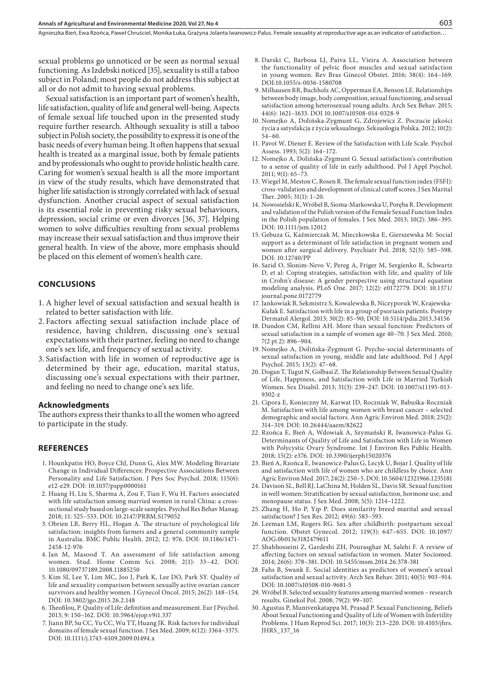sexual problems go unnoticed or be seen as normal sexual functioning. As Izdebski noticed [35], sexuality is still a taboo subject in Poland; most people do not address this subject at all or do not admit to having sexual problems.

Sexual satisfaction is an important part of women's health, life satisfaction, quality of life and general well-being. Aspects of female sexual life touched upon in the presented study require further research. Although sexuality is still a taboo subject in Polish society, the possibility to express it is one of the basic needs of every human being. It often happens that sexual health is treated as a marginal issue, both by female patients and by professionals who ought to provide holistic health care. Caring for women's sexual health is all the more important in view of the study results, which have demonstrated that higher life satisfaction is strongly correlated with lack of sexual dysfunction. Another crucial aspect of sexual satisfaction is its essential role in preventing risky sexual behaviours, depression, social crime or even divorces [36, 37]. Helping women to solve difficulties resulting from sexual problems may increase their sexual satisfaction and thus improve their general health. In view of the above, more emphasis should be placed on this element of women's health care.

#### **CONCLUSIONS**

- 1. A higher level of sexual satisfaction and sexual health is related to better satisfaction with life.
- 2. Factors affecting sexual satisfaction include place of residence, having children, discussing one's sexual expectations with their partner, feeling no need to change one's sex life, and frequency of sexual activity.
- 3. Satisfaction with life in women of reproductive age is determined by their age, education, marital status, discussing one's sexual expectations with their partner, and feeling no need to change one's sex life.

#### **Acknowledgments**

The authors express their thanks to all the women who agreed to participate in the study.

#### **REFERENCES**

- 1. Hounkpatin HO, Boyce ChJ, Dunn G, Alex MW. Modeling Bivariate Change in Individual Differences: Prospective Associations Between Personality and Life Satisfaction. J Pers Soc Psychol. 2018; 115(6): e12-e29. DOI: 10.1037/pspp0000161
- 2. Huang H, Liu S, Sharma A, Zou F, Tian F, Wu H. Factors associated with life satisfaction among married women in rural China: a crosssectional study based on large-scale samples. Psychol Res Behav Manag. 2018; 11: 525–533. DOI: 10.2147/PRBM.S179052
- 3. Obrien LB, Berry HL, Hogan A. The structure of psychological life satisfaction: insights from farmers and a general community sample in Australia. BMC Public Health. 2012; 12: 976. DOI: 10.1186/1471- 2458-12-976
- 4. Jan M, Masood T. An assessment of life satisfaction among women. Stud. Home Comm Sci. 2008; 2(1): 33–42. DOI: 10.1080/09737189.2008.11885250
- 5. Kim SI, Lee Y, Lim MC, Joo J, Park K, Lee DO, Park SY. Quality of life and sexuality comparison between sexually active ovarian cancer survivors and healthy women. J Gynecol Oncol. 2015; 26(2): 148–154. DOI: 10.3802/jgo.2015.26.2.148
- 6. Theofilou, P. Quality of Life: definition and measurement. Eur J Psychol. 2013; 9: 150–162. DOI: 10.5964/ejop.v9i1.337
- 7. Jiann BP, Su CC, Yu CC, Wu TT, Huang JK. Risk factors for individual domains of female sexual function. J Sex Med. 2009; 6(12): 3364–3375. DOI: 10.1111/j.1743-6109.2009.01494.x
- 8. Darski C, Barbosa LJ, Paiva LL, Vieira A. Association between the functionality of pelvic floor muscles and sexual satisfaction in young women. Rev Bras Ginecol Obstet. 2016; 38(4): 164–169. DOI:10.1055/s-0036-1580708
- 9. Milhausen RR, Buchholz AC, Opperman EA, Benson LE. Relationships between body image, body composition, sexual functioning, and sexual satisfaction among heterosexual young adults. Arch Sex Behav. 2015; 44(6): 1621–1633. DOI 10.1007/s10508-014-0328-9
- 10. Nomejko A, Dolińska-Zygmunt G, Zdrojewicz Z. Poczucie jakości życia a satysfakcja z życia seksualnego. Seksuologia Polska. 2012; 10(2): 54–60.
- 11. Pavot W, Diener E. Review of the Satisfaction with Life Scale. Psychol Assess. 1993; 5(2): 164–172.
- 12. Nomejko A, Dolińska-Zygmunt G. Sexual satisfaction's contribution to a sense of quality of life in early adulthood. Pol J Appl Psychol.  $2011$ ; 9(1): 65–73.
- 13. Wiegel M, Meston C, Rosen R. The female sexual function index (FSFI): cross-validation and development of clinical cutoff scores. J Sex Marital Ther. 2005; 31(1): 1–20.
- 14. Nowosielski K, Wróbel B, Sioma-Markowska U, Poręba R. Development and validation of the Polish version of the Female Sexual Function Index in the Polish population of females. J Sex Med. 2013; 10(2): 386–395. DOI: 10.1111/jsm.12012
- 15. Gebuza G, Kaźmierczak M, Mieczkowska E, Gierszewska M: Social support as a determinant of life satisfaction in pregnant women and women after surgical delivery. Psychiatr Pol. 2018; 52(3): 585–598. DOI: 10.12740/PP
- 16. Sarid O, Slonim-Nevo V, Pereg A, Friger M, Sergienko R, Schwartz D, et al: Coping strategies, satisfaction with life, and quality of life in Crohn's disease: A gender perspective using structural equation modeling analysis. PLoS One. 2017; 12(2): e0172779. DOI: 10.1371/ journal.pone.0172779
- 17. Jankowiak B, Sekmistrz S, Kowalewska B, Niczyporuk W, Krajewska-Kułak E. Satisfaction with life in a group of psoriasis patients. Postepy Dermatol Alergol. 2013; 30(2): 85–90; DOI: 10.5114/pdia.2013.34156
- 18. Dundon CM, Rellini AH. More than sexual function: Predictors of sexual satisfaction in a sample of women age 40–70. J Sex Med. 2010; 7(2 pt 2): 896–904.
- 19. Nomejko A, Dolińska-Zygmunt G. Psycho-social determinants of sexual satisfaction in young, middle and late adulthood. Pol J Appl Psychol. 2015; 13(2): 47–68.
- 20. Dogan T, Tugut N, Golbasi Z. The Relationship Between Sexual Quality of Life, Happiness, and Satisfaction with Life in Married Turkish Women. Sex Disabil. 2013; 31(3): 239–247. DOI: 10.1007/s11195-013- 9302-z
- 21. Cipora E, Konieczny M, Karwat ID, Roczniak W, Babuśka-Roczniak M. Satisfaction with life among women with breast cancer – selected demographic and social factors. Ann Agric Environ Med. 2018; 25(2): 314–319. DOI: 10.26444/aaem/82622
- 22. Rzońca E, Bień A, Wdowiak A, Szymański R, Iwanowicz-Palus G. Determinants of Quality of Life and Satisfaction with Life in Women with Polycystic Ovary Syndrome. Int J Environ Res Public Health. 2018; 15(2): e376. DOI: 10.3390/ijerph15020376
- 23. Bień A, Rzońca E, Iwanowicz-Palus G, Lecyk U, Bojar I. Quality of life and satisfaction with life of women who are childless by choice. Ann Agric Environ Med. 2017; 24(2): 250–5. DOI: 10.5604/12321966.1235181
- 24. Davison SL, Bell RJ, LaChina M, Holden SL, Davis SR. Sexual function in well women: Stratification by sexual satisfaction, hormone use, and menopause status. J Sex Med. 2008; 5(5): 1214–1222.
- 25. Zhang H, Ho P, Yip P. Does similarity breed marital and sexual satisfaction? J Sex Res. 2012; 49(6): 583–593.
- 26. Leeman LM, Rogers RG. Sex after childbirth: postpartum sexual function. Obstet Gynecol. 2012; 119(3): 647–655. DOI: 10.1097/ AOG.0b013e3182479611
- 27. Shahhosseini Z, Gardeshi ZH, Pourasghar M, Salehi F. A review of affecting factors on sexual satisfaction in women. Mater Sociomed. 2014; 26(6): 378–381. DOI: 10.5455/msm.2014.26.378-381
- 28. Fahs B, Swank E. Social identities as predictors of women's sexual satisfaction and sexual activity. Arch Sex Behav. 2011; 40(5): 903–914. DOI: 10.1007/s10508-010-9681-5
- 29. Wróbel B. Selected sexuality features among married women research results. Ginekol Pol. 2008; 79(2): 99–107.
- 30. Agustus P, Munivenkatappa M, Prasad P. Sexual Functioning, Beliefs About Sexual Functioning and Quality of Life of Women with Infertility Problems. J Hum Reprod Sci. 2017; 10(3): 213–220. DOI: 10.4103/jhrs. JHRS\_137\_16